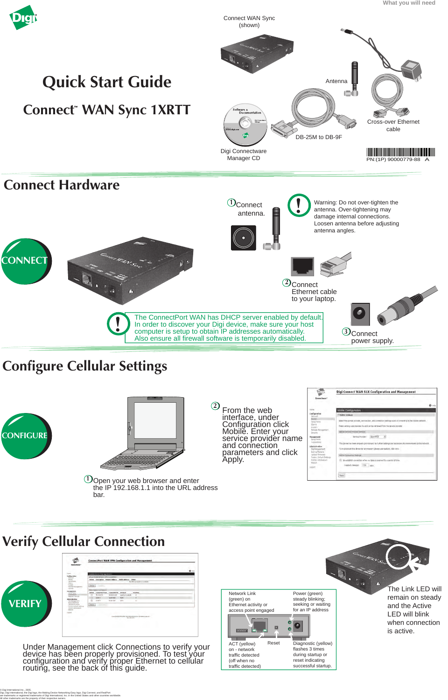The Link LED will remain on steady and the Active LED will blink when connection is active.

 $\operatorname{D}$ Open your web browser and enter the IP 192.168.1.1 into the URL address bar.





| <b>CONTACT</b>                                           | <b>Connections Management</b>                                                       | 0.777 |
|----------------------------------------------------------|-------------------------------------------------------------------------------------|-------|
| Leafter when<br><b>Notwick</b>                           | Victor Preside Services (VPA) Conseillation                                         |       |
| Millike.                                                 | dution Decoration durante-follows -<br>Malille Address - Status                     |       |
| "Lena Euro"<br><b>Likers</b>                             | No Vith connections' available                                                      |       |
| <b>Lysters</b><br>Kalimina Warangerm                     | Fishwah <sup>*</sup>                                                                |       |
| saluelly                                                 | Allow leptics Corrections                                                           |       |
| <b>Management</b><br>Terral Party                        | Artist Conteiled From Cannoched In Profection<br>Neisland                           |       |
| Competition<br><b>National Services</b>                  | <b>CI</b><br>79.13.4.76<br>89.26.93.68<br>aux formements<br>٠                       |       |
| <b>Administration</b>                                    | $\Box$<br>sailaí t<br><b>ACA (TAL)</b><br><b>Suite</b>                              |       |
| - File Management                                        | a<br>stroil 2<br>Tend shed<br>$\rightarrow$<br><b>Service</b>                       |       |
| <b>Saless/Neiting</b><br><b>Highligh Filmseigh</b>       | <b>Hatroph</b>                                                                      |       |
| Vaccini Defent Dettings<br><b><i>Listen Memories</i></b> |                                                                                     |       |
| <b>SHOW:</b>                                             |                                                                                     |       |
| <b>HEAR</b>                                              |                                                                                     |       |
|                                                          | Exposure & EFFE-2014 (eg) Smartplain at Eric virtuality textiles (<br>test dollars. |       |
|                                                          |                                                                                     |       |

## **Verify Cellular Connection**

Under Management click Connections to verify your device has been properly provisioned. To test your configuration and verify proper Ethernet to cellular routing, see the back of this guide.